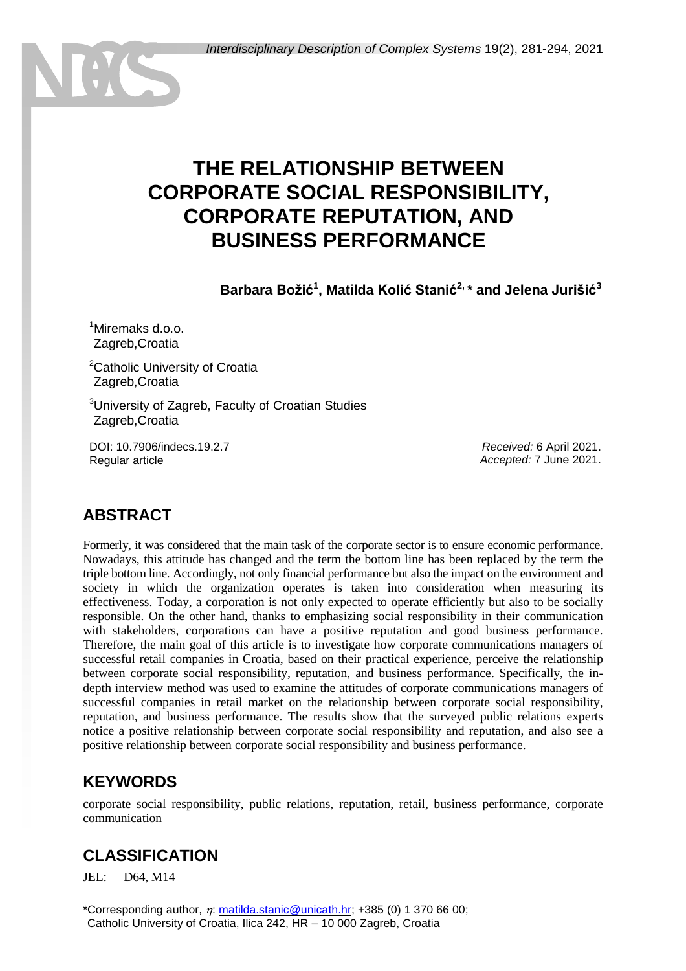# **THE RELATIONSHIP BETWEEN CORPORATE SOCIAL RESPONSIBILITY, CORPORATE REPUTATION, AND BUSINESS PERFORMANCE**

**Barbara Božić<sup>1</sup> , Matilda Kolić Stanić2, \* and Jelena Jurišić<sup>3</sup>**

<sup>1</sup>Miremaks d.o.o. Zagreb, Croatia

<sup>2</sup>Catholic University of Croatia <sup>2</sup>Zagreb,Croatia

<sup>3</sup>University of Zagreb, Faculty of Croatian Studies Zagreb, Croatia

DOI: 10.7906/indecs.19.2.7 Regular article

*Received:* 6 April 2021. *Accepted:* 7 June 2021.

# **ABSTRACT**

Formerly, it was considered that the main task of the corporate sector is to ensure economic performance. Nowadays, this attitude has changed and the term the bottom line has been replaced by the term the triple bottom line. Accordingly, not only financial performance but also the impact on the environment and society in which the organization operates is taken into consideration when measuring its effectiveness. Today, a corporation is not only expected to operate efficiently but also to be socially responsible. On the other hand, thanks to emphasizing social responsibility in their communication with stakeholders, corporations can have a positive reputation and good business performance. Therefore, the main goal of this article is to investigate how corporate communications managers of successful retail companies in Croatia, based on their practical experience, perceive the relationship between corporate social responsibility, reputation, and business performance. Specifically, the indepth interview method was used to examine the attitudes of corporate communications managers of successful companies in retail market on the relationship between corporate social responsibility, reputation, and business performance. The results show that the surveyed public relations experts notice a positive relationship between corporate social responsibility and reputation, and also see a positive relationship between corporate social responsibility and business performance.

### **KEYWORDS**

corporate social responsibility, public relations, reputation, retail, business performance, corporate communication

## **CLASSIFICATION**

JEL: D64, M14

\*Corresponding author,  $\eta$ : [matilda.stanic@unicath.hr;](mailto:matilda.stanic@unicath.hr) +385 (0) 1 370 66 00; Catholic University of Croatia, Ilica 242, HR - 10 000 Zagreb, Croatia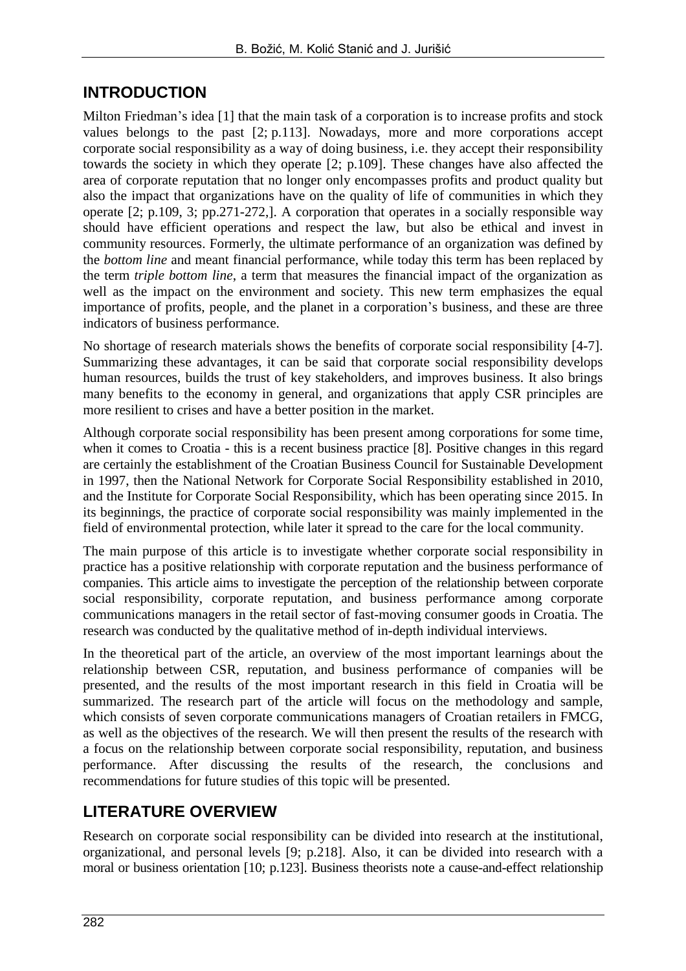### **INTRODUCTION**

Milton Friedman's idea [1] that the main task of a corporation is to increase profits and stock values belongs to the past [2; p.113]. Nowadays, more and more corporations accept corporate social responsibility as a way of doing business, i.e. they accept their responsibility towards the society in which they operate [2; p.109]. These changes have also affected the area of corporate reputation that no longer only encompasses profits and product quality but also the impact that organizations have on the quality of life of communities in which they operate [2; p.109, 3; pp.271-272,]. A corporation that operates in a socially responsible way should have efficient operations and respect the law, but also be ethical and invest in community resources. Formerly, the ultimate performance of an organization was defined by the *bottom line* and meant financial performance, while today this term has been replaced by the term *triple bottom line*, a term that measures the financial impact of the organization as well as the impact on the environment and society. This new term emphasizes the equal importance of profits, people, and the planet in a corporation's business, and these are three indicators of business performance.

No shortage of research materials shows the benefits of corporate social responsibility [4-7]. Summarizing these advantages, it can be said that corporate social responsibility develops human resources, builds the trust of key stakeholders, and improves business. It also brings many benefits to the economy in general, and organizations that apply CSR principles are more resilient to crises and have a better position in the market.

Although corporate social responsibility has been present among corporations for some time, when it comes to Croatia - this is a recent business practice [8]. Positive changes in this regard are certainly the establishment of the Croatian Business Council for Sustainable Development in 1997, then the National Network for Corporate Social Responsibility established in 2010, and the Institute for Corporate Social Responsibility, which has been operating since 2015. In its beginnings, the practice of corporate social responsibility was mainly implemented in the field of environmental protection, while later it spread to the care for the local community.

The main purpose of this article is to investigate whether corporate social responsibility in practice has a positive relationship with corporate reputation and the business performance of companies. This article aims to investigate the perception of the relationship between corporate social responsibility, corporate reputation, and business performance among corporate communications managers in the retail sector of fast-moving consumer goods in Croatia. The research was conducted by the qualitative method of in-depth individual interviews.

In the theoretical part of the article, an overview of the most important learnings about the relationship between CSR, reputation, and business performance of companies will be presented, and the results of the most important research in this field in Croatia will be summarized. The research part of the article will focus on the methodology and sample, which consists of seven corporate communications managers of Croatian retailers in FMCG, as well as the objectives of the research. We will then present the results of the research with a focus on the relationship between corporate social responsibility, reputation, and business performance. After discussing the results of the research, the conclusions and recommendations for future studies of this topic will be presented.

## **LITERATURE OVERVIEW**

Research on corporate social responsibility can be divided into research at the institutional, organizational, and personal levels [9; p.218]. Also, it can be divided into research with a moral or business orientation [10; p.123]. Business theorists note a cause-and-effect relationship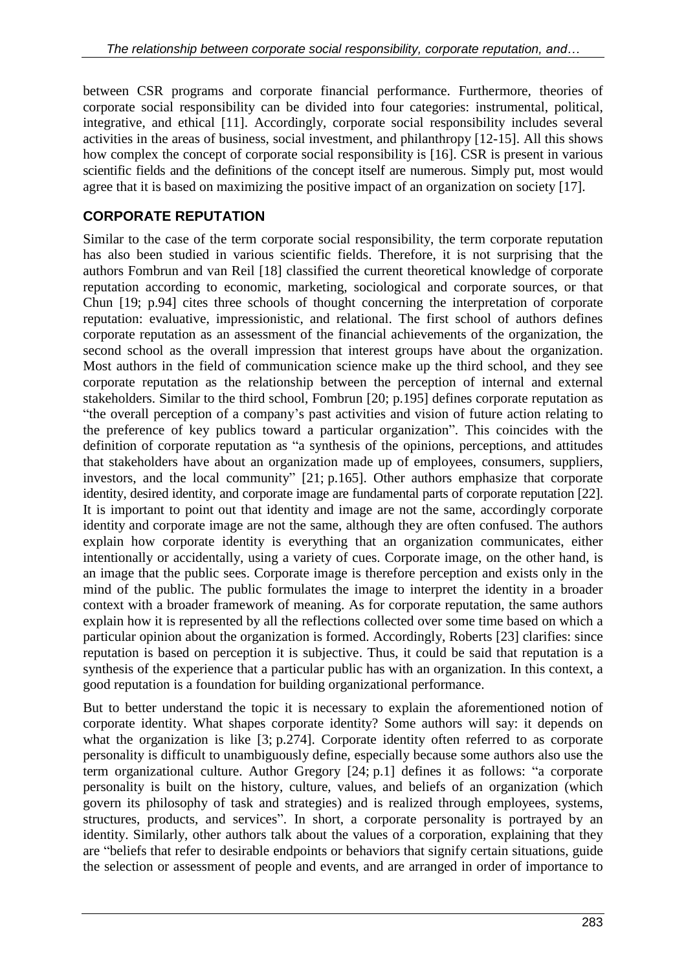between CSR programs and corporate financial performance. Furthermore, theories of corporate social responsibility can be divided into four categories: instrumental, political, integrative, and ethical [11]. Accordingly, corporate social responsibility includes several activities in the areas of business, social investment, and philanthropy [12-15]. All this shows how complex the concept of corporate social responsibility is [16]. CSR is present in various scientific fields and the definitions of the concept itself are numerous. Simply put, most would agree that it is based on maximizing the positive impact of an organization on society [17].

#### **CORPORATE REPUTATION**

Similar to the case of the term corporate social responsibility, the term corporate reputation has also been studied in various scientific fields. Therefore, it is not surprising that the authors Fombrun and van Reil [18] classified the current theoretical knowledge of corporate reputation according to economic, marketing, sociological and corporate sources, or that Chun [19; p.94] cites three schools of thought concerning the interpretation of corporate reputation: evaluative, impressionistic, and relational. The first school of authors defines corporate reputation as an assessment of the financial achievements of the organization, the second school as the overall impression that interest groups have about the organization. Most authors in the field of communication science make up the third school, and they see corporate reputation as the relationship between the perception of internal and external stakeholders. Similar to the third school, Fombrun [20; p.195] defines corporate reputation as "the overall perception of a company's past activities and vision of future action relating to the preference of key publics toward a particular organization". This coincides with the definition of corporate reputation as "a synthesis of the opinions, perceptions, and attitudes that stakeholders have about an organization made up of employees, consumers, suppliers, investors, and the local community" [21; p.165]. Other authors emphasize that corporate identity, desired identity, and corporate image are fundamental parts of corporate reputation [22]. It is important to point out that identity and image are not the same, accordingly corporate identity and corporate image are not the same, although they are often confused. The authors explain how corporate identity is everything that an organization communicates, either intentionally or accidentally, using a variety of cues. Corporate image, on the other hand, is an image that the public sees. Corporate image is therefore perception and exists only in the mind of the public. The public formulates the image to interpret the identity in a broader context with a broader framework of meaning. As for corporate reputation, the same authors explain how it is represented by all the reflections collected over some time based on which a particular opinion about the organization is formed. Accordingly, Roberts [23] clarifies: since reputation is based on perception it is subjective. Thus, it could be said that reputation is a synthesis of the experience that a particular public has with an organization. In this context, a good reputation is a foundation for building organizational performance.

But to better understand the topic it is necessary to explain the aforementioned notion of corporate identity. What shapes corporate identity? Some authors will say: it depends on what the organization is like [3; p.274]. Corporate identity often referred to as corporate personality is difficult to unambiguously define, especially because some authors also use the term organizational culture. Author Gregory [24; p.1] defines it as follows: "a corporate personality is built on the history, culture, values, and beliefs of an organization (which govern its philosophy of task and strategies) and is realized through employees, systems, structures, products, and services". In short, a corporate personality is portrayed by an identity. Similarly, other authors talk about the values of a corporation, explaining that they are "beliefs that refer to desirable endpoints or behaviors that signify certain situations, guide the selection or assessment of people and events, and are arranged in order of importance to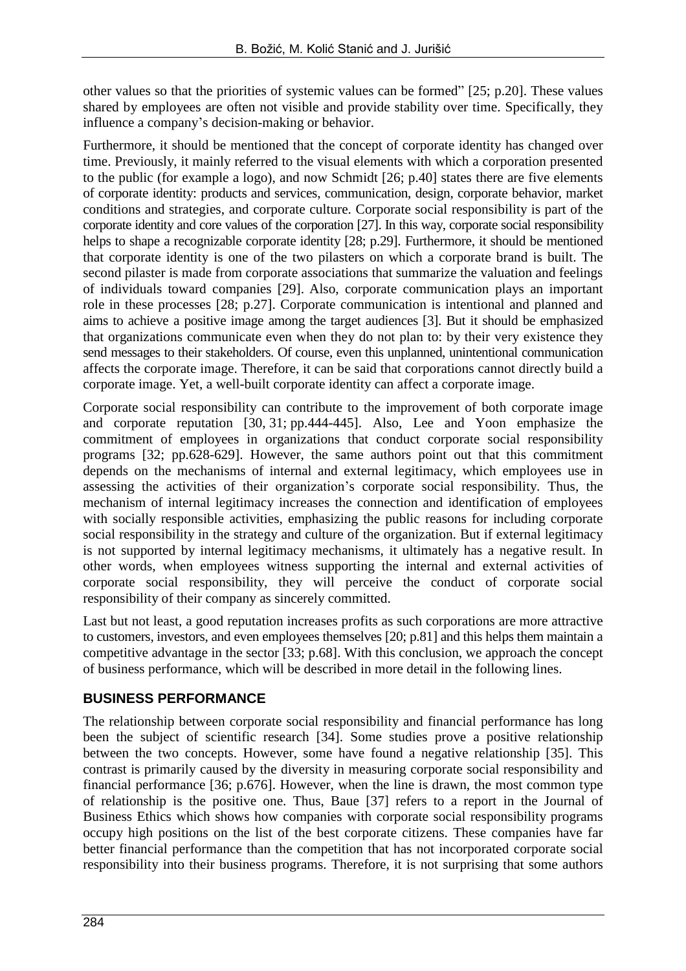other values so that the priorities of systemic values can be formed" [25; p.20]. These values shared by employees are often not visible and provide stability over time. Specifically, they influence a company's decision-making or behavior.

Furthermore, it should be mentioned that the concept of corporate identity has changed over time. Previously, it mainly referred to the visual elements with which a corporation presented to the public (for example a logo), and now Schmidt [26; p.40] states there are five elements of corporate identity: products and services, communication, design, corporate behavior, market conditions and strategies, and corporate culture. Corporate social responsibility is part of the corporate identity and core values of the corporation [27]. In this way, corporate social responsibility helps to shape a recognizable corporate identity [28; p.29]. Furthermore, it should be mentioned that corporate identity is one of the two pilasters on which a corporate brand is built. The second pilaster is made from corporate associations that summarize the valuation and feelings of individuals toward companies [29]. Also, corporate communication plays an important role in these processes [28; p.27]. Corporate communication is intentional and planned and aims to achieve a positive image among the target audiences [3]. But it should be emphasized that organizations communicate even when they do not plan to: by their very existence they send messages to their stakeholders. Of course, even this unplanned, unintentional communication affects the corporate image. Therefore, it can be said that corporations cannot directly build a corporate image. Yet, a well-built corporate identity can affect a corporate image.

Corporate social responsibility can contribute to the improvement of both corporate image and corporate reputation [30, 31; pp.444-445]. Also, Lee and Yoon emphasize the commitment of employees in organizations that conduct corporate social responsibility programs [32; pp.628-629]. However, the same authors point out that this commitment depends on the mechanisms of internal and external legitimacy, which employees use in assessing the activities of their organization's corporate social responsibility. Thus, the mechanism of internal legitimacy increases the connection and identification of employees with socially responsible activities, emphasizing the public reasons for including corporate social responsibility in the strategy and culture of the organization. But if external legitimacy is not supported by internal legitimacy mechanisms, it ultimately has a negative result. In other words, when employees witness supporting the internal and external activities of corporate social responsibility, they will perceive the conduct of corporate social responsibility of their company as sincerely committed.

Last but not least, a good reputation increases profits as such corporations are more attractive to customers, investors, and even employees themselves [20; p.81] and this helps them maintain a competitive advantage in the sector [33; p.68]. With this conclusion, we approach the concept of business performance, which will be described in more detail in the following lines.

#### **BUSINESS PERFORMANCE**

The relationship between corporate social responsibility and financial performance has long been the subject of scientific research [34]. Some studies prove a positive relationship between the two concepts. However, some have found a negative relationship [35]. This contrast is primarily caused by the diversity in measuring corporate social responsibility and financial performance [36; p.676]. However, when the line is drawn, the most common type of relationship is the positive one. Thus, Baue [37] refers to a report in the Journal of Business Ethics which shows how companies with corporate social responsibility programs occupy high positions on the list of the best corporate citizens. These companies have far better financial performance than the competition that has not incorporated corporate social responsibility into their business programs. Therefore, it is not surprising that some authors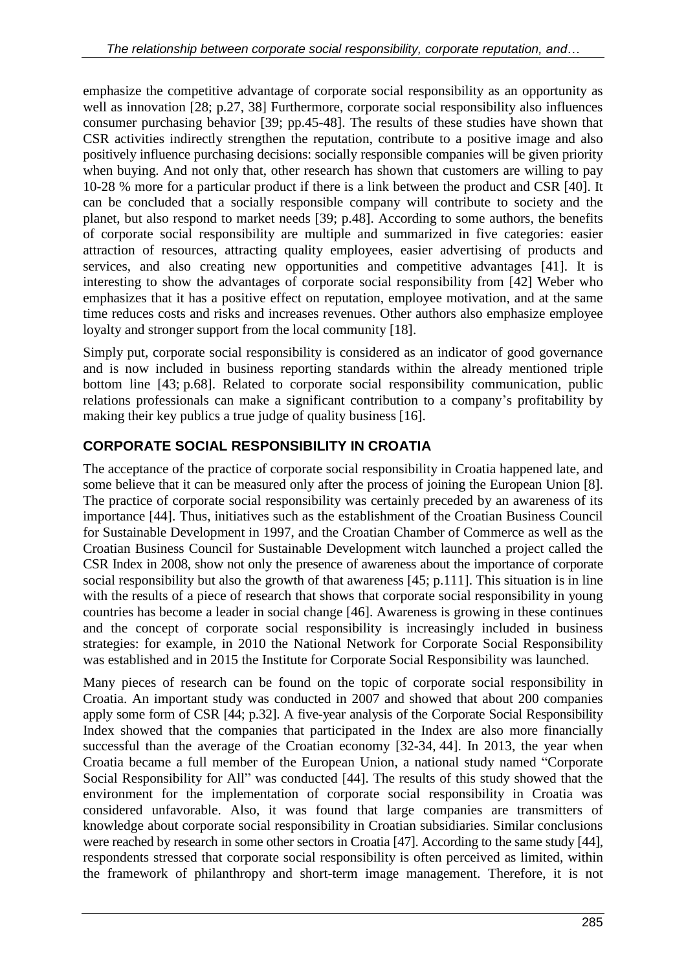emphasize the competitive advantage of corporate social responsibility as an opportunity as well as innovation [28; p.27, 38] Furthermore, corporate social responsibility also influences consumer purchasing behavior [39; pp.45-48]. The results of these studies have shown that CSR activities indirectly strengthen the reputation, contribute to a positive image and also positively influence purchasing decisions: socially responsible companies will be given priority when buying. And not only that, other research has shown that customers are willing to pay 10-28 % more for a particular product if there is a link between the product and CSR [40]. It can be concluded that a socially responsible company will contribute to society and the planet, but also respond to market needs [39; p.48]. According to some authors, the benefits of corporate social responsibility are multiple and summarized in five categories: easier attraction of resources, attracting quality employees, easier advertising of products and services, and also creating new opportunities and competitive advantages [41]. It is interesting to show the advantages of corporate social responsibility from [42] Weber who emphasizes that it has a positive effect on reputation, employee motivation, and at the same time reduces costs and risks and increases revenues. Other authors also emphasize employee loyalty and stronger support from the local community [18].

Simply put, corporate social responsibility is considered as an indicator of good governance and is now included in business reporting standards within the already mentioned triple bottom line [43; p.68]. Related to corporate social responsibility communication, public relations professionals can make a significant contribution to a company's profitability by making their key publics a true judge of quality business [16].

### **CORPORATE SOCIAL RESPONSIBILITY IN CROATIA**

The acceptance of the practice of corporate social responsibility in Croatia happened late, and some believe that it can be measured only after the process of joining the European Union [8]. The practice of corporate social responsibility was certainly preceded by an awareness of its importance [44]. Thus, initiatives such as the establishment of the Croatian Business Council for Sustainable Development in 1997, and the Croatian Chamber of Commerce as well as the Croatian Business Council for Sustainable Development witch launched a project called the CSR Index in 2008, show not only the presence of awareness about the importance of corporate social responsibility but also the growth of that awareness [45; p.111]. This situation is in line with the results of a piece of research that shows that corporate social responsibility in young countries has become a leader in social change [46]. Awareness is growing in these continues and the concept of corporate social responsibility is increasingly included in business strategies: for example, in 2010 the National Network for Corporate Social Responsibility was established and in 2015 the Institute for Corporate Social Responsibility was launched.

Many pieces of research can be found on the topic of corporate social responsibility in Croatia. An important study was conducted in 2007 and showed that about 200 companies apply some form of CSR [44; p.32]. A five-year analysis of the Corporate Social Responsibility Index showed that the companies that participated in the Index are also more financially successful than the average of the Croatian economy [32-34, 44]. In 2013, the year when Croatia became a full member of the European Union, a national study named "Corporate Social Responsibility for All" was conducted [44]. The results of this study showed that the environment for the implementation of corporate social responsibility in Croatia was considered unfavorable. Also, it was found that large companies are transmitters of knowledge about corporate social responsibility in Croatian subsidiaries. Similar conclusions were reached by research in some other sectors in Croatia [47]. According to the same study [44], respondents stressed that corporate social responsibility is often perceived as limited, within the framework of philanthropy and short-term image management. Therefore, it is not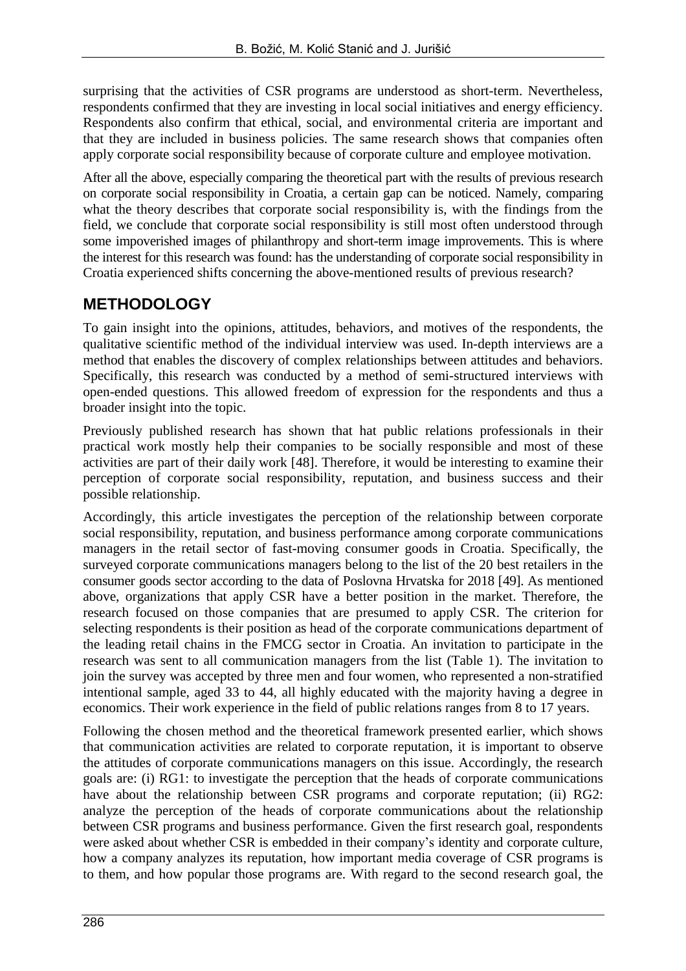surprising that the activities of CSR programs are understood as short-term. Nevertheless, respondents confirmed that they are investing in local social initiatives and energy efficiency. Respondents also confirm that ethical, social, and environmental criteria are important and that they are included in business policies. The same research shows that companies often apply corporate social responsibility because of corporate culture and employee motivation.

After all the above, especially comparing the theoretical part with the results of previous research on corporate social responsibility in Croatia, a certain gap can be noticed. Namely, comparing what the theory describes that corporate social responsibility is, with the findings from the field, we conclude that corporate social responsibility is still most often understood through some impoverished images of philanthropy and short-term image improvements. This is where the interest for this research was found: has the understanding of corporate social responsibility in Croatia experienced shifts concerning the above-mentioned results of previous research?

### **METHODOLOGY**

To gain insight into the opinions, attitudes, behaviors, and motives of the respondents, the qualitative scientific method of the individual interview was used. In-depth interviews are a method that enables the discovery of complex relationships between attitudes and behaviors. Specifically, this research was conducted by a method of semi-structured interviews with open-ended questions. This allowed freedom of expression for the respondents and thus a broader insight into the topic.

Previously published research has shown that hat public relations professionals in their practical work mostly help their companies to be socially responsible and most of these activities are part of their daily work [48]. Therefore, it would be interesting to examine their perception of corporate social responsibility, reputation, and business success and their possible relationship.

Accordingly, this article investigates the perception of the relationship between corporate social responsibility, reputation, and business performance among corporate communications managers in the retail sector of fast-moving consumer goods in Croatia. Specifically, the surveyed corporate communications managers belong to the list of the 20 best retailers in the consumer goods sector according to the data of Poslovna Hrvatska for 2018 [49]. As mentioned above, organizations that apply CSR have a better position in the market. Therefore, the research focused on those companies that are presumed to apply CSR. The criterion for selecting respondents is their position as head of the corporate communications department of the leading retail chains in the FMCG sector in Croatia. An invitation to participate in the research was sent to all communication managers from the list (Table 1). The invitation to join the survey was accepted by three men and four women, who represented a non-stratified intentional sample, aged 33 to 44, all highly educated with the majority having a degree in economics. Their work experience in the field of public relations ranges from 8 to 17 years.

Following the chosen method and the theoretical framework presented earlier, which shows that communication activities are related to corporate reputation, it is important to observe the attitudes of corporate communications managers on this issue. Accordingly, the research goals are: (i) RG1: to investigate the perception that the heads of corporate communications have about the relationship between CSR programs and corporate reputation; (ii) RG2: analyze the perception of the heads of corporate communications about the relationship between CSR programs and business performance. Given the first research goal, respondents were asked about whether CSR is embedded in their company's identity and corporate culture, how a company analyzes its reputation, how important media coverage of CSR programs is to them, and how popular those programs are. With regard to the second research goal, the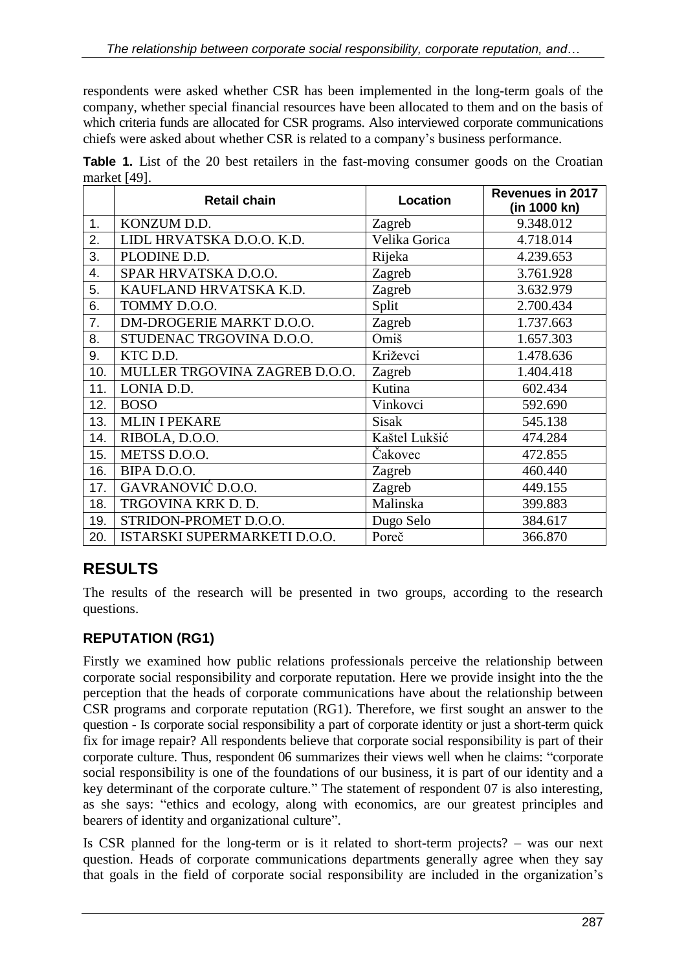respondents were asked whether CSR has been implemented in the long-term goals of the company, whether special financial resources have been allocated to them and on the basis of which criteria funds are allocated for CSR programs. Also interviewed corporate communications chiefs were asked about whether CSR is related to a company's business performance.

**Table 1.** List of the 20 best retailers in the fast-moving consumer goods on the Croatian market [49].

|     | <b>Retail chain</b>           | <b>Location</b> | <b>Revenues in 2017</b><br>(in 1000 kn) |
|-----|-------------------------------|-----------------|-----------------------------------------|
| 1.  | KONZUM D.D.                   | Zagreb          | 9.348.012                               |
| 2.  | LIDL HRVATSKA D.O.O. K.D.     | Velika Gorica   | 4.718.014                               |
| 3.  | PLODINE D.D.                  | Rijeka          | 4.239.653                               |
| 4.  | SPAR HRVATSKA D.O.O.          | Zagreb          | 3.761.928                               |
| 5.  | KAUFLAND HRVATSKA K.D.        | Zagreb          | 3.632.979                               |
| 6.  | TOMMY D.O.O.                  | Split           | 2.700.434                               |
| 7.  | DM-DROGERIE MARKT D.O.O.      | Zagreb          | 1.737.663                               |
| 8.  | STUDENAC TRGOVINA D.O.O.      | Omiš            | 1.657.303                               |
| 9.  | KTC D.D.                      | Križevci        | 1.478.636                               |
| 10. | MULLER TRGOVINA ZAGREB D.O.O. | Zagreb          | 1.404.418                               |
| 11. | LONIA D.D.                    | Kutina          | 602.434                                 |
| 12. | <b>BOSO</b>                   | Vinkovci        | 592.690                                 |
| 13. | <b>MLIN I PEKARE</b>          | <b>Sisak</b>    | 545.138                                 |
| 14. | RIBOLA, D.O.O.                | Kaštel Lukšić   | 474.284                                 |
| 15. | METSS D.O.O.                  | Čakovec         | 472.855                                 |
| 16. | BIPA D.O.O.                   | Zagreb          | 460.440                                 |
| 17. | GAVRANOVIĆ D.O.O.             | Zagreb          | 449.155                                 |
| 18. | TRGOVINA KRK D. D.            | Malinska        | 399.883                                 |
| 19. | STRIDON-PROMET D.O.O.         | Dugo Selo       | 384.617                                 |
| 20. | ISTARSKI SUPERMARKETI D.O.O.  | Poreč           | 366.870                                 |

# **RESULTS**

The results of the research will be presented in two groups, according to the research questions.

### **REPUTATION (RG1)**

Firstly we examined how public relations professionals perceive the relationship between corporate social responsibility and corporate reputation. Here we provide insight into the the perception that the heads of corporate communications have about the relationship between CSR programs and corporate reputation (RG1). Therefore, we first sought an answer to the question - Is corporate social responsibility a part of corporate identity or just a short-term quick fix for image repair? All respondents believe that corporate social responsibility is part of their corporate culture. Thus, respondent 06 summarizes their views well when he claims: "corporate social responsibility is one of the foundations of our business, it is part of our identity and a key determinant of the corporate culture." The statement of respondent 07 is also interesting, as she says: "ethics and ecology, along with economics, are our greatest principles and bearers of identity and organizational culture".

Is CSR planned for the long-term or is it related to short-term projects? – was our next question. Heads of corporate communications departments generally agree when they say that goals in the field of corporate social responsibility are included in the organization's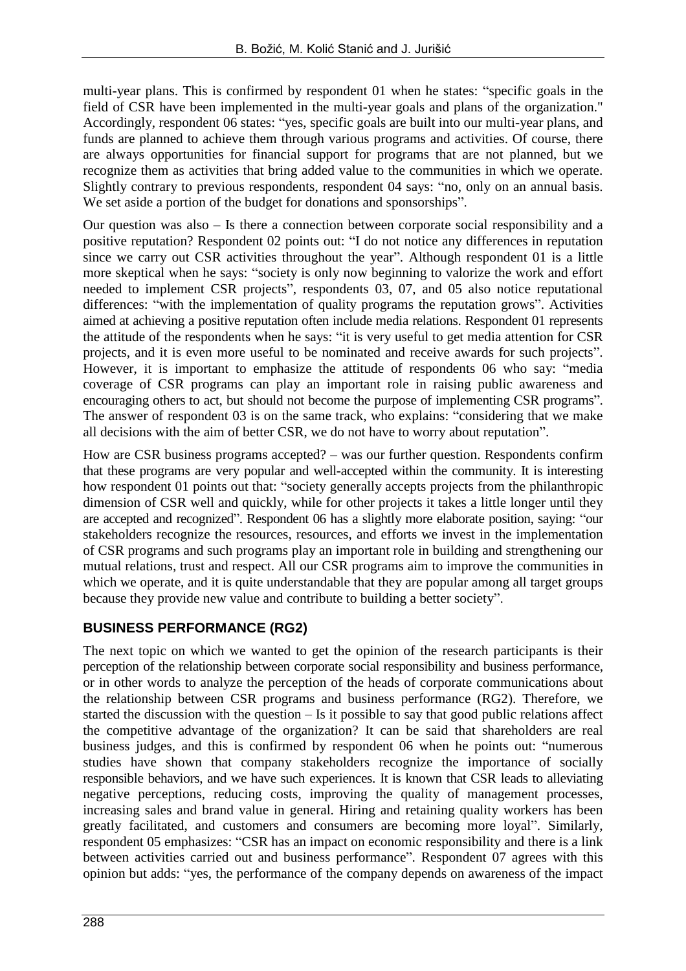multi-year plans. This is confirmed by respondent 01 when he states: "specific goals in the field of CSR have been implemented in the multi-year goals and plans of the organization." Accordingly, respondent 06 states: "yes, specific goals are built into our multi-year plans, and funds are planned to achieve them through various programs and activities. Of course, there are always opportunities for financial support for programs that are not planned, but we recognize them as activities that bring added value to the communities in which we operate. Slightly contrary to previous respondents, respondent 04 says: "no, only on an annual basis. We set aside a portion of the budget for donations and sponsorships".

Our question was also – Is there a connection between corporate social responsibility and a positive reputation? Respondent 02 points out: "I do not notice any differences in reputation since we carry out CSR activities throughout the year". Although respondent 01 is a little more skeptical when he says: "society is only now beginning to valorize the work and effort needed to implement CSR projects", respondents 03, 07, and 05 also notice reputational differences: "with the implementation of quality programs the reputation grows". Activities aimed at achieving a positive reputation often include media relations. Respondent 01 represents the attitude of the respondents when he says: "it is very useful to get media attention for CSR projects, and it is even more useful to be nominated and receive awards for such projects". However, it is important to emphasize the attitude of respondents 06 who say: "media coverage of CSR programs can play an important role in raising public awareness and encouraging others to act, but should not become the purpose of implementing CSR programs". The answer of respondent 03 is on the same track, who explains: "considering that we make all decisions with the aim of better CSR, we do not have to worry about reputation".

How are CSR business programs accepted? – was our further question. Respondents confirm that these programs are very popular and well-accepted within the community. It is interesting how respondent 01 points out that: "society generally accepts projects from the philanthropic dimension of CSR well and quickly, while for other projects it takes a little longer until they are accepted and recognized". Respondent 06 has a slightly more elaborate position, saying: "our stakeholders recognize the resources, resources, and efforts we invest in the implementation of CSR programs and such programs play an important role in building and strengthening our mutual relations, trust and respect. All our CSR programs aim to improve the communities in which we operate, and it is quite understandable that they are popular among all target groups because they provide new value and contribute to building a better society".

#### **BUSINESS PERFORMANCE (RG2)**

The next topic on which we wanted to get the opinion of the research participants is their perception of the relationship between corporate social responsibility and business performance, or in other words to analyze the perception of the heads of corporate communications about the relationship between CSR programs and business performance (RG2). Therefore, we started the discussion with the question – Is it possible to say that good public relations affect the competitive advantage of the organization? It can be said that shareholders are real business judges, and this is confirmed by respondent 06 when he points out: "numerous studies have shown that company stakeholders recognize the importance of socially responsible behaviors, and we have such experiences. It is known that CSR leads to alleviating negative perceptions, reducing costs, improving the quality of management processes, increasing sales and brand value in general. Hiring and retaining quality workers has been greatly facilitated, and customers and consumers are becoming more loyal". Similarly, respondent 05 emphasizes: "CSR has an impact on economic responsibility and there is a link between activities carried out and business performance". Respondent 07 agrees with this opinion but adds: "yes, the performance of the company depends on awareness of the impact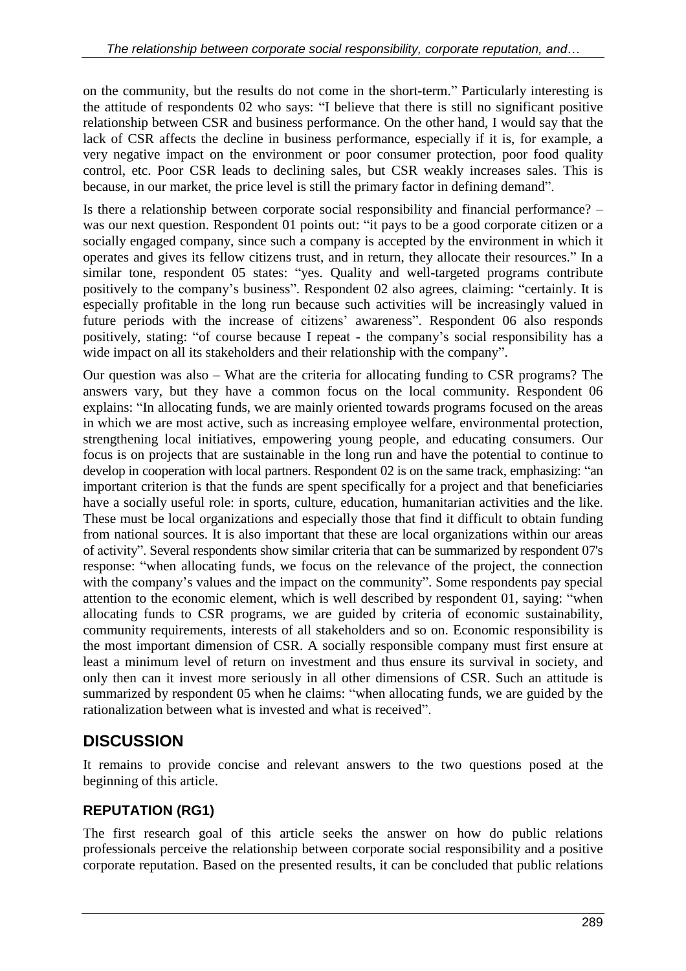on the community, but the results do not come in the short-term." Particularly interesting is the attitude of respondents 02 who says: "I believe that there is still no significant positive relationship between CSR and business performance. On the other hand, I would say that the lack of CSR affects the decline in business performance, especially if it is, for example, a very negative impact on the environment or poor consumer protection, poor food quality control, etc. Poor CSR leads to declining sales, but CSR weakly increases sales. This is because, in our market, the price level is still the primary factor in defining demand".

Is there a relationship between corporate social responsibility and financial performance? – was our next question. Respondent 01 points out: "it pays to be a good corporate citizen or a socially engaged company, since such a company is accepted by the environment in which it operates and gives its fellow citizens trust, and in return, they allocate their resources." In a similar tone, respondent 05 states: "yes. Quality and well-targeted programs contribute positively to the company's business". Respondent 02 also agrees, claiming: "certainly. It is especially profitable in the long run because such activities will be increasingly valued in future periods with the increase of citizens' awareness". Respondent 06 also responds positively, stating: "of course because I repeat - the company's social responsibility has a wide impact on all its stakeholders and their relationship with the company".

Our question was also – What are the criteria for allocating funding to CSR programs? The answers vary, but they have a common focus on the local community. Respondent 06 explains: "In allocating funds, we are mainly oriented towards programs focused on the areas in which we are most active, such as increasing employee welfare, environmental protection, strengthening local initiatives, empowering young people, and educating consumers. Our focus is on projects that are sustainable in the long run and have the potential to continue to develop in cooperation with local partners. Respondent 02 is on the same track, emphasizing: "an important criterion is that the funds are spent specifically for a project and that beneficiaries have a socially useful role: in sports, culture, education, humanitarian activities and the like. These must be local organizations and especially those that find it difficult to obtain funding from national sources. It is also important that these are local organizations within our areas of activity". Several respondents show similar criteria that can be summarized by respondent 07's response: "when allocating funds, we focus on the relevance of the project, the connection with the company's values and the impact on the community". Some respondents pay special attention to the economic element, which is well described by respondent 01, saying: "when allocating funds to CSR programs, we are guided by criteria of economic sustainability, community requirements, interests of all stakeholders and so on. Economic responsibility is the most important dimension of CSR. A socially responsible company must first ensure at least a minimum level of return on investment and thus ensure its survival in society, and only then can it invest more seriously in all other dimensions of CSR. Such an attitude is summarized by respondent 05 when he claims: "when allocating funds, we are guided by the rationalization between what is invested and what is received".

## **DISCUSSION**

It remains to provide concise and relevant answers to the two questions posed at the beginning of this article.

### **REPUTATION (RG1)**

The first research goal of this article seeks the answer on how do public relations professionals perceive the relationship between corporate social responsibility and a positive corporate reputation. Based on the presented results, it can be concluded that public relations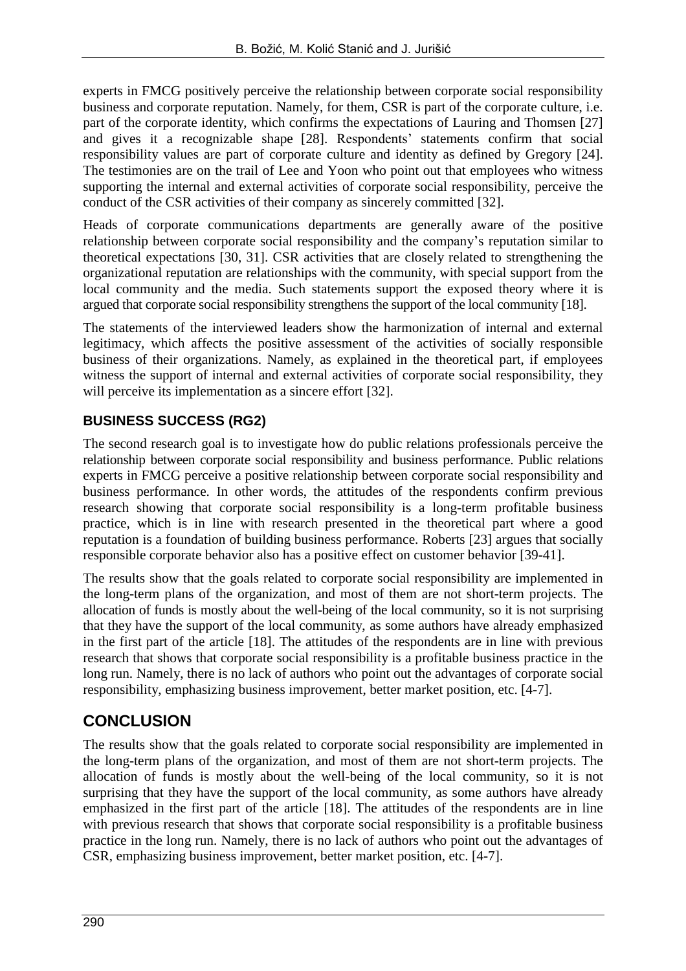experts in FMCG positively perceive the relationship between corporate social responsibility business and corporate reputation. Namely, for them, CSR is part of the corporate culture, i.e. part of the corporate identity, which confirms the expectations of Lauring and Thomsen [27] and gives it a recognizable shape [28]. Respondents' statements confirm that social responsibility values are part of corporate culture and identity as defined by Gregory [24]. The testimonies are on the trail of Lee and Yoon who point out that employees who witness supporting the internal and external activities of corporate social responsibility, perceive the conduct of the CSR activities of their company as sincerely committed [32].

Heads of corporate communications departments are generally aware of the positive relationship between corporate social responsibility and the company's reputation similar to theoretical expectations [30, 31]. CSR activities that are closely related to strengthening the organizational reputation are relationships with the community, with special support from the local community and the media. Such statements support the exposed theory where it is argued that corporate social responsibility strengthens the support of the local community [18].

The statements of the interviewed leaders show the harmonization of internal and external legitimacy, which affects the positive assessment of the activities of socially responsible business of their organizations. Namely, as explained in the theoretical part, if employees witness the support of internal and external activities of corporate social responsibility, they will perceive its implementation as a sincere effort [32].

#### **BUSINESS SUCCESS (RG2)**

The second research goal is to investigate how do public relations professionals perceive the relationship between corporate social responsibility and business performance. Public relations experts in FMCG perceive a positive relationship between corporate social responsibility and business performance. In other words, the attitudes of the respondents confirm previous research showing that corporate social responsibility is a long-term profitable business practice, which is in line with research presented in the theoretical part where a good reputation is a foundation of building business performance. Roberts [23] argues that socially responsible corporate behavior also has a positive effect on customer behavior [39-41].

The results show that the goals related to corporate social responsibility are implemented in the long-term plans of the organization, and most of them are not short-term projects. The allocation of funds is mostly about the well-being of the local community, so it is not surprising that they have the support of the local community, as some authors have already emphasized in the first part of the article [18]. The attitudes of the respondents are in line with previous research that shows that corporate social responsibility is a profitable business practice in the long run. Namely, there is no lack of authors who point out the advantages of corporate social responsibility, emphasizing business improvement, better market position, etc. [4-7].

## **CONCLUSION**

The results show that the goals related to corporate social responsibility are implemented in the long-term plans of the organization, and most of them are not short-term projects. The allocation of funds is mostly about the well-being of the local community, so it is not surprising that they have the support of the local community, as some authors have already emphasized in the first part of the article [18]. The attitudes of the respondents are in line with previous research that shows that corporate social responsibility is a profitable business practice in the long run. Namely, there is no lack of authors who point out the advantages of CSR, emphasizing business improvement, better market position, etc. [4-7].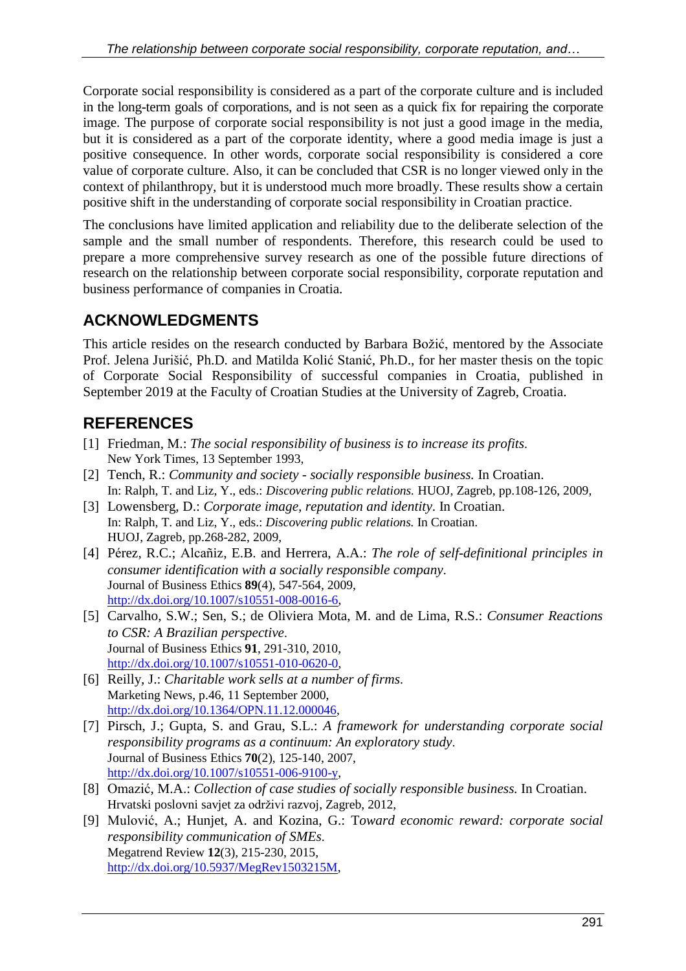Corporate social responsibility is considered as a part of the corporate culture and is included in the long-term goals of corporations, and is not seen as a quick fix for repairing the corporate image. The purpose of corporate social responsibility is not just a good image in the media, but it is considered as a part of the corporate identity, where a good media image is just a positive consequence. In other words, corporate social responsibility is considered a core value of corporate culture. Also, it can be concluded that CSR is no longer viewed only in the context of philanthropy, but it is understood much more broadly. These results show a certain positive shift in the understanding of corporate social responsibility in Croatian practice.

The conclusions have limited application and reliability due to the deliberate selection of the sample and the small number of respondents. Therefore, this research could be used to prepare a more comprehensive survey research as one of the possible future directions of research on the relationship between corporate social responsibility, corporate reputation and business performance of companies in Croatia.

# **ACKNOWLEDGMENTS**

This article resides on the research conducted by Barbara Božić, mentored by the Associate Prof. Jelena Jurišić, Ph.D. and Matilda Kolić Stanić, Ph.D., for her master thesis on the topic of Corporate Social Responsibility of successful companies in Croatia, published in September 2019 at the Faculty of Croatian Studies at the University of Zagreb, Croatia.

# **REFERENCES**

- [1] Friedman, M.: *The social responsibility of business is to increase its profits*. New York Times, 13 September 1993,
- [2] Tench, R.: *Community and society - socially responsible business.* In Croatian. In: Ralph, T. and Liz, Y., eds.: *Discovering public relations.* HUOJ, Zagreb, pp.108-126, 2009,
- [3] Lowensberg, D.: *Corporate image, reputation and identity*. In Croatian. In: Ralph, T. and Liz, Y., eds.: *Discovering public relations.* In Croatian. HUOJ, Zagreb, pp.268-282, 2009,
- [4] Pérez, R.C.; Alcañiz, E.B. and Herrera, A.A.: *The role of self-definitional principles in consumer identification with a socially responsible company*. Journal of Business Ethics **89**(4), 547-564, 2009, <http://dx.doi.org/10.1007/s10551-008-0016-6>,
- [5] Carvalho, S.W.; Sen, S.; de Oliviera Mota, M. and de Lima, R.S.: *Consumer Reactions to CSR: A Brazilian perspective*. Journal of Business Ethics **91**, 291-310, 2010, [http://dx.doi.org/10.1007/s10551-010-0620-0,](http://dx.doi.org/10.1007/s10551-010-0620-0)
- [6] Reilly, J.: *Charitable work sells at a number of firms*. Marketing News, p.46, 11 September 2000, [http://dx.doi.org/10.1364/OPN.11.12.000046,](http://dx.doi.org/10.1364/OPN.11.12.000046)
- [7] Pirsch, J.; Gupta, S. and Grau, S.L.: *A framework for understanding corporate social responsibility programs as a continuum: An exploratory study*. Journal of Business Ethics **70**(2), 125-140, 2007, <http://dx.doi.org/10.1007/s10551-006-9100-y>,
- [8] Omazić, M.A.: *Collection of case studies of socially responsible business.* In Croatian. Hrvatski poslovni savjet za održivi razvoj, Zagreb, 2012,
- [9] Mulović, A.; Hunjet, A. and Kozina, G.: T*oward economic reward: corporate social responsibility communication of SMEs*. Megatrend Review **12**(3), 215-230, 2015, [http://dx.doi.org/10.5937/MegRev1503215M,](http://dx.doi.org/10.5937/MegRev1503215M)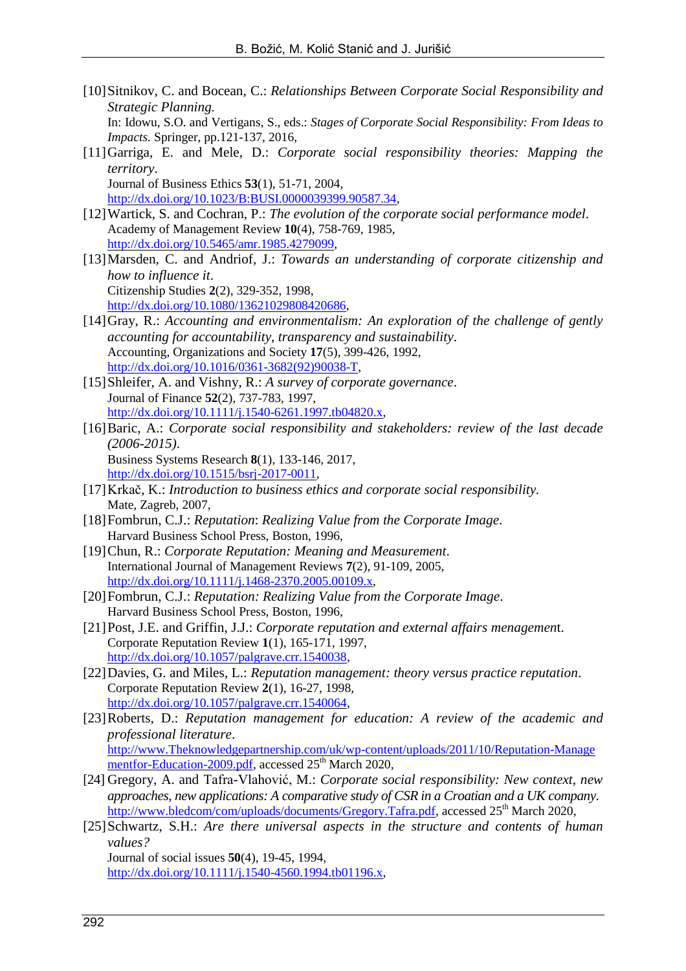- [10]Sitnikov, C. and Bocean, C.: *Relationships Between Corporate Social Responsibility and Strategic Planning.* In: Idowu, S.O. and Vertigans, S., eds.: *Stages of Corporate Social Responsibility: From Ideas to Impacts.* Springer, pp.121-137, 2016,
- [11]Garriga, E. and Mele, D.: *Corporate social responsibility theories: Mapping the territory*. Journal of Business Ethics **53**(1), 51-71, 2004,

[http://dx.doi.org/10.1023/B:BUSI.0000039399.90587.34,](http://dx.doi.org/10.1023/B:BUSI.0000039399.90587.34)

- [12]Wartick, S. and Cochran, P.: *The evolution of the corporate social performance model*. Academy of Management Review **10**(4), 758-769, 1985, <http://dx.doi.org/10.5465/amr.1985.4279099>,
- [13]Marsden, C. and Andriof, J.: *Towards an understanding of corporate citizenship and how to influence it*. Citizenship Studies **2**(2), 329-352, 1998, [http://dx.doi.org/10.1080/13621029808420686,](http://dx.doi.org/10.1080/13621029808420686)
- [14]Gray, R.: *Accounting and environmentalism: An exploration of the challenge of gently accounting for accountability, transparency and sustainability*. Accounting, Organizations and Society **17**(5), 399-426, 1992, [http://dx.doi.org/10.1016/0361-3682\(92\)90038-T,](http://dx.doi.org/10.1016/0361-3682(92)90038-T)
- [15]Shleifer, A. and Vishny, R.: *A survey of corporate governance*. Journal of Finance **52**(2), 737-783, 1997, [http://dx.doi.org/10.1111/j.1540-6261.1997.tb04820.x,](http://dx.doi.org/10.1111/j.1540-6261.1997.tb04820.x)
- [16]Baric, A.: *Corporate social responsibility and stakeholders: review of the last decade (2006-2015)*. Business Systems Research **8**(1), 133-146, 2017,
- [http://dx.doi.org/10.1515/bsrj-2017-0011,](http://dx.doi.org/10.1515/bsrj-2017-0011) [17]Krkač, K.: *Introduction to business ethics and corporate social responsibility.* Mate, Zagreb, 2007,
- [18]Fombrun, C.J.: *Reputation*: *Realizing Value from the Corporate Image*. Harvard Business School Press, Boston, 1996,
- [19]Chun, R.: *Corporate Reputation: Meaning and Measurement*. International Journal of Management Reviews **7**(2), 91-109, 2005, [http://dx.doi.org/10.1111/j.1468-2370.2005.00109.x,](http://dx.doi.org/10.1111/j.1468-2370.2005.00109.x)
- [20]Fombrun, C.J.: *Reputation: Realizing Value from the Corporate Image*. Harvard Business School Press, Boston, 1996,
- [21]Post, J.E. and Griffin, J.J.: *Corporate reputation and external affairs menagemen*t. Corporate Reputation Review **1**(1), 165-171, 1997, [http://dx.doi.org/10.1057/palgrave.crr.1540038,](http://dx.doi.org/10.1057/palgrave.crr.1540038)
- [22]Davies, G. and Miles, L.: *Reputation management: theory versus practice reputation*. Corporate Reputation Review **2**(1), 16-27, 1998, [http://dx.doi.org/10.1057/palgrave.crr.1540064,](http://dx.doi.org/10.1057/palgrave.crr.1540064)
- [23]Roberts, D.: *Reputation management for education: A review of the academic and professional literature*. [http://www.Theknowledgepartnership.com/uk/wp-content/uploads/2011/10/Reputation-Manage](http://www.theknowledgepartnership.com/uk/wp-content/uploads/2011/10/Reputation-Managementfor-Education-2009.pdf) [mentfor-Education-2009.pdf](http://www.theknowledgepartnership.com/uk/wp-content/uploads/2011/10/Reputation-Managementfor-Education-2009.pdf), accessed 25<sup>th</sup> March 2020,
- [24] Gregory, A. and Tafra-Vlahović, M.: *Corporate social responsibility: New context, new approaches, new applications: A comparative study of CSR in a Croatian and a UK company*. [http://www.bledcom/com/uploads/documents/Gregory.Tafra.pdf,](http://www.bledcom/com/uploads/documents/Gregory.Tafra.pdf) accessed 25<sup>th</sup> March 2020,
- [25]Schwartz, S.H.: *Are there universal aspects in the structure and contents of human values?* Journal of social issues **50**(4), 19-45, 1994,

[http://dx.doi.org/10.1111/j.1540-4560.1994.tb01196.x,](http://dx.doi.org/10.1111/j.1540-4560.1994.tb01196.x)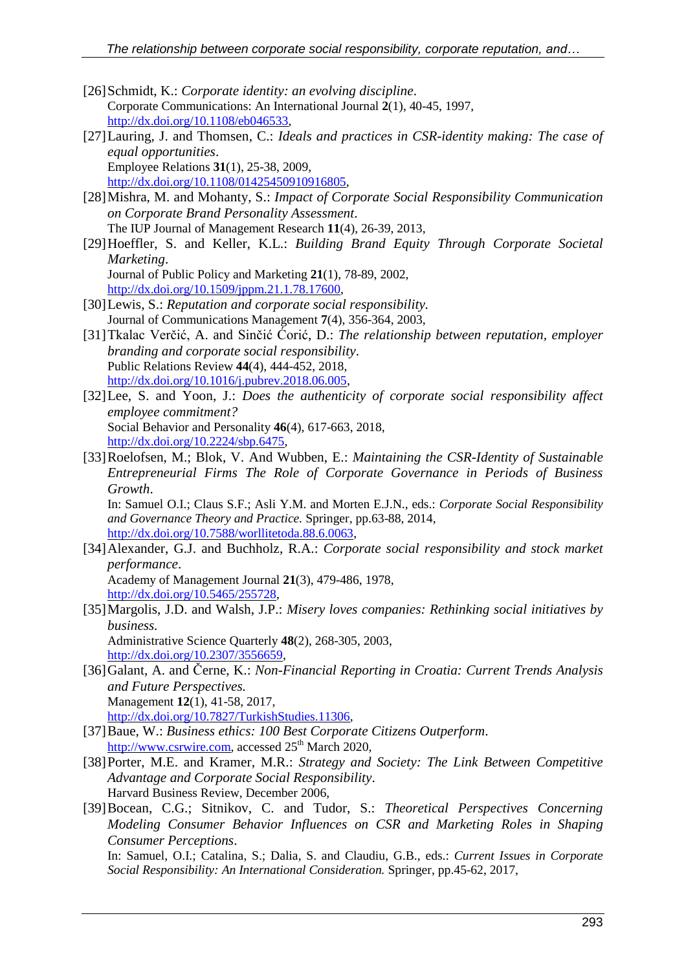- [26]Schmidt, K.: *Corporate identity: an evolving discipline*. Corporate Communications: An International Journal **2**(1), 40-45, 1997, [http://dx.doi.org/10.1108/eb046533,](http://dx.doi.org/10.1108/eb046533)
- [27]Lauring, J. and Thomsen, C.: *Ideals and practices in CSR-identity making: The case of equal opportunities*. Employee Relations **31**(1), 25-38, 2009, [http://dx.doi.org/10.1108/01425450910916805,](http://dx.doi.org/10.1108/01425450910916805)
- [28]Mishra, M. and Mohanty, S.: *Impact of Corporate Social Responsibility Communication on Corporate Brand Personality Assessment*. The IUP Journal of Management Research **11**(4), 26-39, 2013,
- [29]Hoeffler, S. and Keller, K.L.: *Building Brand Equity Through Corporate Societal Marketing*. Journal of Public Policy and Marketing **21**(1), 78-89, 2002,
	- [http://dx.doi.org/10.1509/jppm.21.1.78.17600,](http://dx.doi.org/10.1509/jppm.21.1.78.17600)
- [30]Lewis, S.: *Reputation and corporate social responsibility.* Journal of Communications Management **7**(4), 356-364, 2003,
- [31]Tkalac Verčić, A. and Sinčić Ćorić, D.: *The relationship between reputation, employer branding and corporate social responsibility*. Public Relations Review **44**(4), 444-452, 2018, [http://dx.doi.org/10.1016/j.pubrev.2018.06.005,](http://dx.doi.org/10.1016/j.pubrev.2018.06.005)
- [32]Lee, S. and Yoon, J.: *Does the authenticity of corporate social responsibility affect employee commitment?* Social Behavior and Personality **46**(4), 617-663, 2018, [http://dx.doi.org/10.2224/sbp.6475,](http://dx.doi.org/10.2224/sbp.6475)
- [33]Roelofsen, M.; Blok, V. And Wubben, E.: *Maintaining the CSR-Identity of Sustainable Entrepreneurial Firms The Role of Corporate Governance in Periods of Business Growth*.

In: Samuel O.I.; Claus S.F.; Asli Y.M. and Morten E.J.N., eds.: *Corporate Social Responsibility and Governance Theory and Practice.* Springer, pp.63-88, 2014, [http://dx.doi.org/10.7588/worllitetoda.88.6.0063,](http://dx.doi.org/10.7588/worllitetoda.88.6.0063)

- [34]Alexander, G.J. and Buchholz, R.A.: *Corporate social responsibility and stock market performance*. Academy of Management Journal **21**(3), 479-486, 1978, <http://dx.doi.org/10.5465/255728>,
- [35]Margolis, J.D. and Walsh, J.P.: *Misery loves companies: Rethinking social initiatives by business.* Administrative Science Quarterly **48**(2), 268-305, 2003, [http://dx.doi.org/10.2307/3556659,](http://dx.doi.org/10.2307/3556659)
- [36]Galant, A. and Černe, K.: *Non-Financial Reporting in Croatia: Current Trends Analysis and Future Perspectives.* Management **12**(1), 41-58, 2017, [http://dx.doi.org/10.7827/TurkishStudies.11306,](http://dx.doi.org/10.7827/TurkishStudies.11306)
- [37]Baue, W.: *Business ethics: 100 Best Corporate Citizens Outperform*. [http://www.csrwire.com,](http://www.csrwire.com/) accessed  $25<sup>th</sup>$  March 2020,
- [38]Porter, M.E. and Kramer, M.R.: *Strategy and Society: The Link Between Competitive Advantage and Corporate Social Responsibility*. Harvard Business Review, December 2006,
- [39]Bocean, C.G.; Sitnikov, C. and Tudor, S.: *Theoretical Perspectives Concerning Modeling Consumer Behavior Influences on CSR and Marketing Roles in Shaping Consumer Perceptions*. In: Samuel, O.I.; Catalina, S.; Dalia, S. and Claudiu, G.B., eds.: *Current Issues in Corporate Social Responsibility: An International Consideration.* Springer, pp.45-62, 2017,